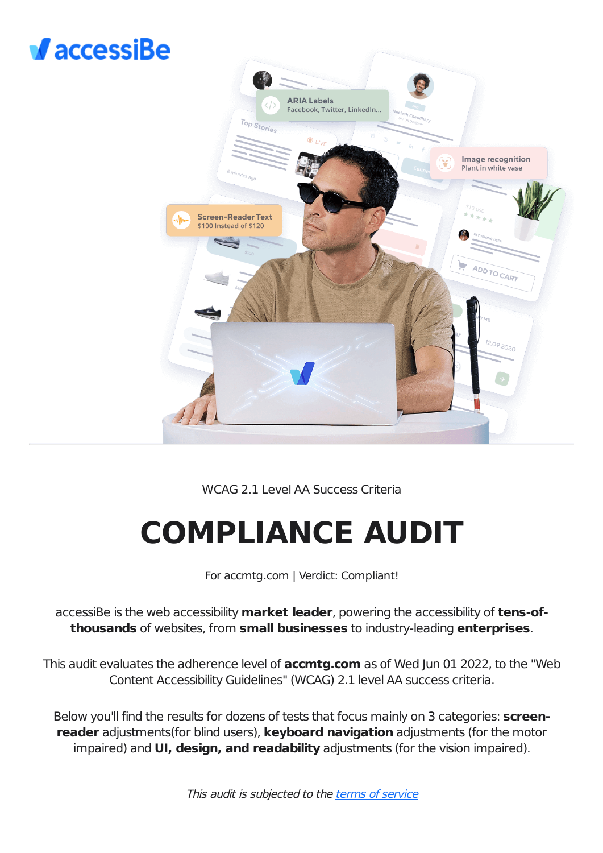# $\sqrt{$  accessiBe



# WCAG 2.1 Level AA Success Criteria

# **COMPLIANCE AUDIT**

For accmtg.com | Verdict: Compliant!

accessiBe is the web accessibility **market leader**, powering the accessibility of **tens-ofthousands** of websites, from **small businesses** to industry-leading **enterprises**.

This audit evaluates the adherence level of **accmtg.com** as of Wed Jun 01 2022, to the "Web Content Accessibility Guidelines" (WCAG) 2.1 level AA success criteria.

Below you'll find the results for dozens of tests that focus mainly on 3 categories: **screenreader** adjustments(for blind users), **keyboard navigation** adjustments (for the motor impaired) and **UI, design, and readability** adjustments (for the vision impaired).

This audit is subjected to the terms of [service](https://accessibe.com/terms-of-service)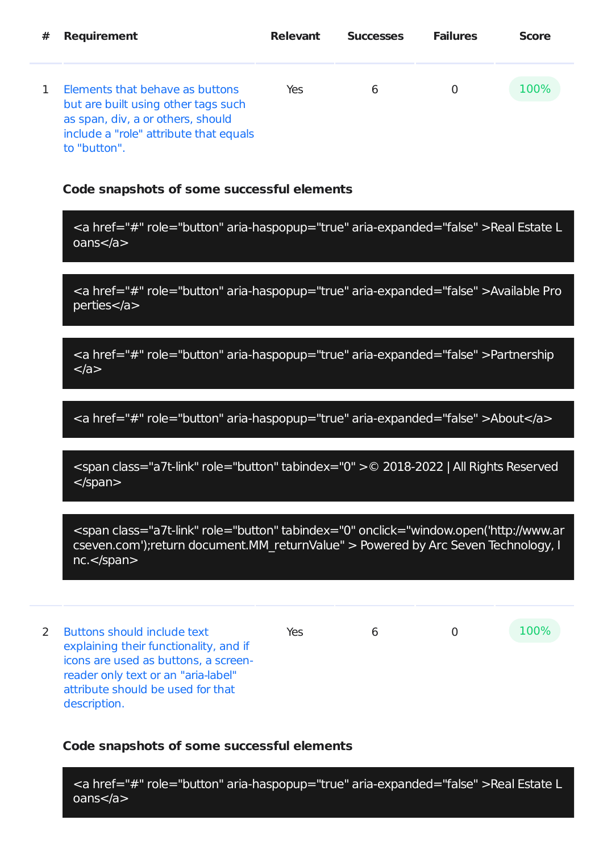| #  | <b>Requirement</b>                                                                                                                                                    | <b>Relevant</b> | <b>Successes</b> | <b>Failures</b> | <b>Score</b> |
|----|-----------------------------------------------------------------------------------------------------------------------------------------------------------------------|-----------------|------------------|-----------------|--------------|
| 1. | Elements that behave as buttons<br>but are built using other tags such<br>as span, div, a or others, should<br>include a "role" attribute that equals<br>to "button". | Yes             | 6                |                 | <b>100%</b>  |

<a href="#" role="button" aria-haspopup="true" aria-expanded="false" >Real Estate L oans</a>

<a href="#" role="button" aria-haspopup="true" aria-expanded="false" >Available Pro perties</a>

<a href="#" role="button" aria-haspopup="true" aria-expanded="false" >Partnership  $<$ /a $>$ 

<a href="#" role="button" aria-haspopup="true" aria-expanded="false" >About</a>

<span class="a7t-link" role="button" tabindex="0" >© 2018-2022 | All Rights Reserved </span>

<span class="a7t-link" role="button" tabindex="0" onclick="window.open('http://www.ar cseven.com');return document.MM\_returnValue" > Powered by Arc Seven Technology, I nc.</span>

2 Buttons should include text explaining their functionality, and if icons are used as buttons, a screenreader only text or an "aria-label" attribute should be used for that description. Yes 6 0 100%

#### **Code snapshots of some successful elements**

<a href="#" role="button" aria-haspopup="true" aria-expanded="false" >Real Estate L oans</a>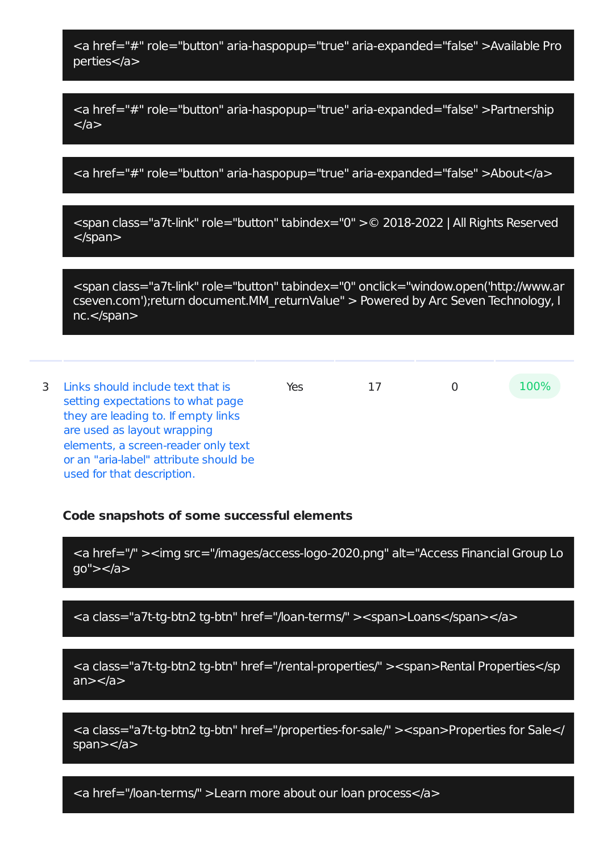<a href="#" role="button" aria-haspopup="true" aria-expanded="false" >Available Pro perties</a>

<a href="#" role="button" aria-haspopup="true" aria-expanded="false" >Partnership </a>

<a href="#" role="button" aria-haspopup="true" aria-expanded="false" >About</a>

<span class="a7t-link" role="button" tabindex="0" >© 2018-2022 | All Rights Reserved </span>

<span class="a7t-link" role="button" tabindex="0" onclick="window.open('http://www.ar cseven.com');return document.MM\_returnValue" > Powered by Arc Seven Technology, I nc.</span>

3 Links should include text that is setting expectations to what page they are leading to. If empty links are used as layout wrapping elements, a screen-reader only text or an "aria-label" attribute should be used for that description. Yes 17 0 100%

#### **Code snapshots of some successful elements**

<a href="/" ><img src="/images/access-logo-2020.png" alt="Access Financial Group Lo go"></a>

<a class="a7t-tg-btn2 tg-btn" href="/loan-terms/" ><span>Loans</span></a>

<a class="a7t-tg-btn2 tg-btn" href="/rental-properties/" ><span>Rental Properties</sp an $>>/a>$ 

<a class="a7t-tg-btn2 tg-btn" href="/properties-for-sale/" ><span>Properties for Sale</ span $>>$ /a $>$ 

<a href="/loan-terms/" >Learn more about our loan process</a>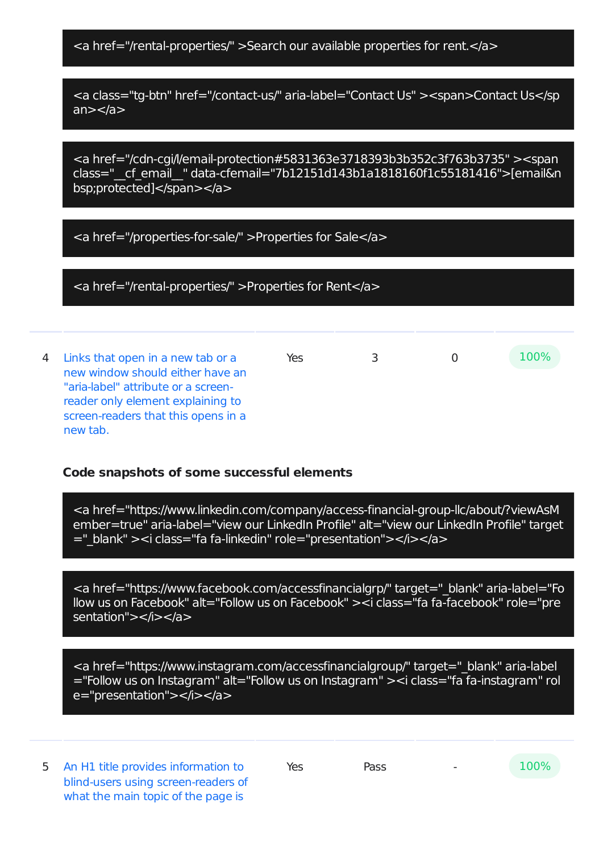<a href="/rental-properties/" >Search our available properties for rent.</a>

<a class="tg-btn" href="/contact-us/" aria-label="Contact Us" ><span>Contact Us</sp  $an \ge \le /a$ 

<a href="/cdn-cgi/l/email-protection#5831363e3718393b3b352c3f763b3735" ><span class="\_\_cf\_email\_\_" data-cfemail="7b12151d143b1a1818160f1c55181416">[email&n bsp;protected]</span></a>

<a href="/properties-for-sale/" >Properties for Sale</a>

<a href="/rental-properties/" >Properties for Rent</a>

4 Links that open in a new tab or a new window should either have an "aria-label" attribute or a screenreader only element explaining to screen-readers that this opens in a new tab. Yes 3 0 100%

# **Code snapshots of some successful elements**

<a href="https://www.linkedin.com/company/access-financial-group-llc/about/?viewAsM ember=true" aria-label="view our LinkedIn Profile" alt="view our LinkedIn Profile" target ="\_blank" ><i class="fa fa-linkedin" role="presentation"></i></a>

<a href="https://www.facebook.com/accessfinancialgrp/" target="\_blank" aria-label="Fo llow us on Facebook" alt="Follow us on Facebook" ><i class="fa fa-facebook" role="pre sentation"></i></a>

<a href="https://www.instagram.com/accessfinancialgroup/" target="\_blank" aria-label ="Follow us on Instagram" alt="Follow us on Instagram" ><i class="fa fa-instagram" rol e="presentation"></i></a>

5 An H1 title provides information to blind-users using screen-readers of what the main topic of the page is

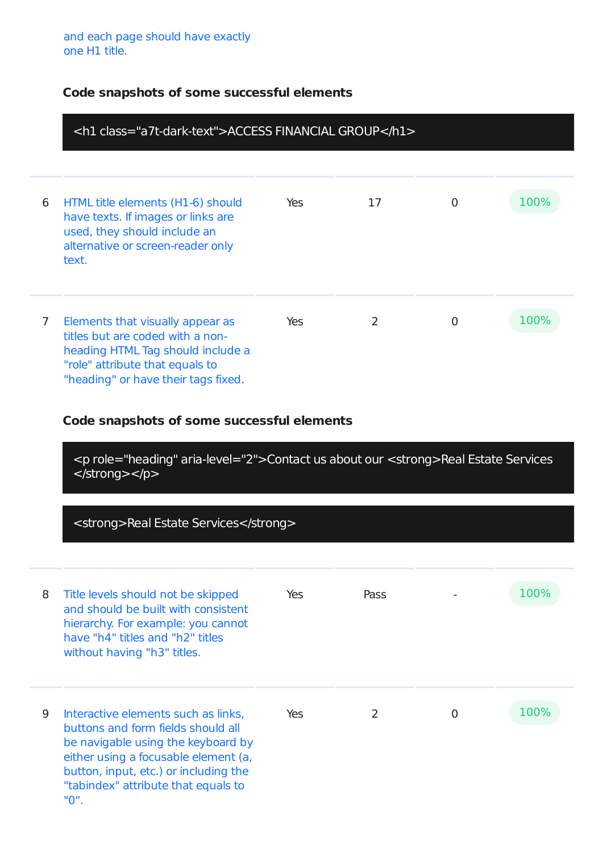|                | <h1 class="a7t-dark-text">ACCESS FINANCIAL GROUP</h1>                                                                                                                                                                                           |     |      |          |      |  |
|----------------|-------------------------------------------------------------------------------------------------------------------------------------------------------------------------------------------------------------------------------------------------|-----|------|----------|------|--|
|                |                                                                                                                                                                                                                                                 |     |      |          |      |  |
| 6              | HTML title elements (H1-6) should<br>have texts. If images or links are<br>used, they should include an<br>alternative or screen-reader only<br>text.                                                                                           | Yes | 17   | 0        | 100% |  |
| $\overline{7}$ | Elements that visually appear as<br>titles but are coded with a non-<br>heading HTML Tag should include a<br>"role" attribute that equals to<br>"heading" or have their tags fixed.                                                             | Yes | 2    | $\Omega$ | 100% |  |
|                | Code snapshots of some successful elements                                                                                                                                                                                                      |     |      |          |      |  |
|                | <p aria-level="2" role="heading">Contact us about our <strong>Real Estate Services<br/></strong></p>                                                                                                                                            |     |      |          |      |  |
|                | <strong>Real Estate Services</strong>                                                                                                                                                                                                           |     |      |          |      |  |
| 8              | Title levels should not be skipped<br>and should be built with consistent<br>hierarchy. For example: you cannot<br>have "h4" titles and "h2" titles<br>without having "h3" titles.                                                              | Yes | Pass |          | 100% |  |
| 9              | Interactive elements such as links,<br>buttons and form fields should all<br>be navigable using the keyboard by<br>either using a focusable element (a,<br>button, input, etc.) or including the<br>"tabindex" attribute that equals to<br>"0". | Yes | 2    | $\Omega$ | 100% |  |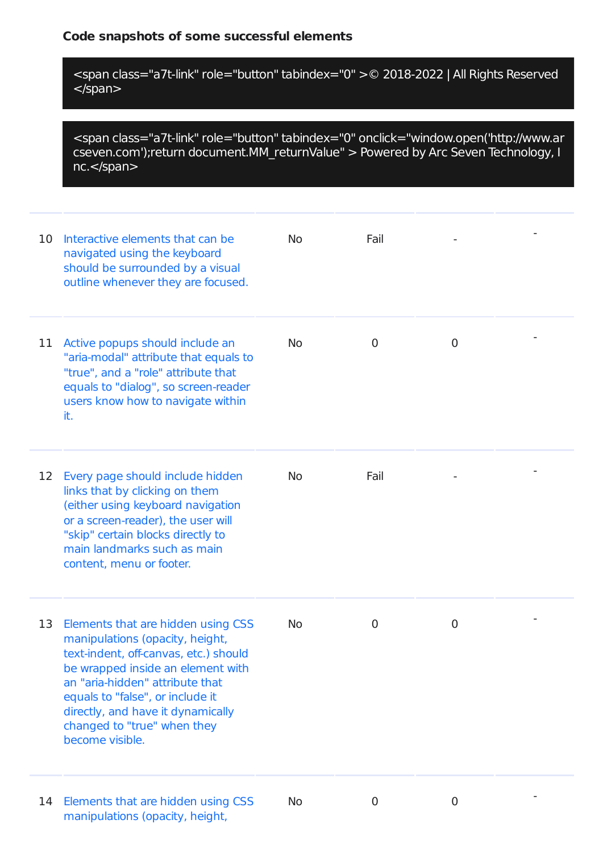<span class="a7t-link" role="button" tabindex="0" >© 2018-2022 | All Rights Reserved </span>

<span class="a7t-link" role="button" tabindex="0" onclick="window.open('http://www.ar cseven.com');return document.MM\_returnValue" > Powered by Arc Seven Technology, I nc.</span>

| 10 | Interactive elements that can be<br>navigated using the keyboard<br>should be surrounded by a visual<br>outline whenever they are focused.                                                                                                                                                                        | No.       | Fail        |   |  |
|----|-------------------------------------------------------------------------------------------------------------------------------------------------------------------------------------------------------------------------------------------------------------------------------------------------------------------|-----------|-------------|---|--|
| 11 | Active popups should include an<br>"aria-modal" attribute that equals to<br>"true", and a "role" attribute that<br>equals to "dialog", so screen-reader<br>users know how to navigate within<br>it.                                                                                                               | <b>No</b> | $\mathbf 0$ | 0 |  |
| 12 | Every page should include hidden<br>links that by clicking on them<br>(either using keyboard navigation<br>or a screen-reader), the user will<br>"skip" certain blocks directly to<br>main landmarks such as main<br>content, menu or footer.                                                                     | No        | Fail        |   |  |
| 13 | Elements that are hidden using CSS<br>manipulations (opacity, height,<br>text-indent, off-canvas, etc.) should<br>be wrapped inside an element with<br>an "aria-hidden" attribute that<br>equals to "false", or include it<br>directly, and have it dynamically<br>changed to "true" when they<br>become visible. | No        | $\mathbf 0$ | 0 |  |
| 14 | Elements that are hidden using CSS<br>manipulations (opacity, height,                                                                                                                                                                                                                                             | No        | 0           | 0 |  |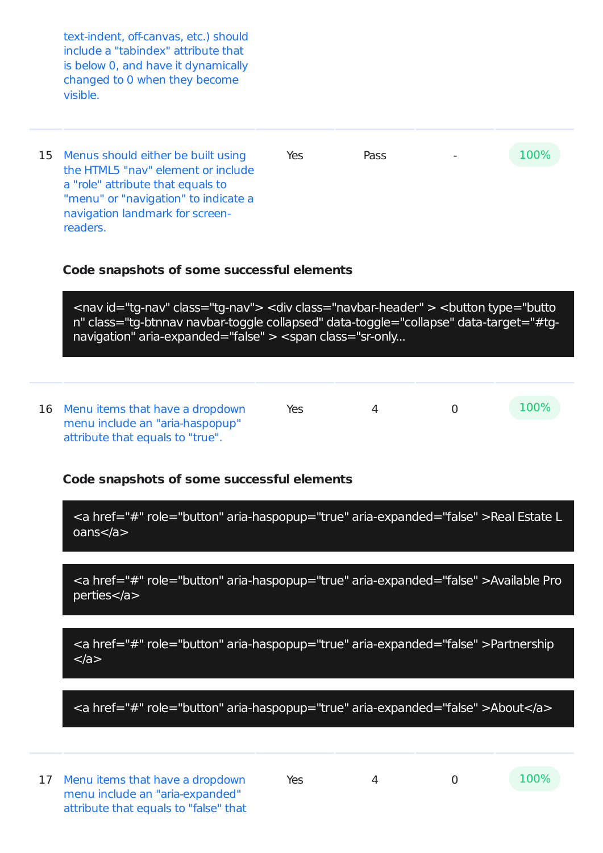| text-indent, off-canvas, etc.) should<br>include a "tabindex" attribute that<br>is below 0, and have it dynamically<br>changed to 0 when they become<br>visible.                                                                                                                                                                                             |     |             |      |
|--------------------------------------------------------------------------------------------------------------------------------------------------------------------------------------------------------------------------------------------------------------------------------------------------------------------------------------------------------------|-----|-------------|------|
| 15 Menus should either be built using<br>the HTML5 "nay" element or include<br>a "role" attribute that equals to<br>"menu" or "navigation" to indicate a<br>navigation landmark for screen-<br>readers.                                                                                                                                                      | Yes | <b>Pass</b> | 100% |
| Code snapshots of some successful elements<br><nav class="tg-nav" id="tg-nav"> <div class="navbar-header"> <button aria-expanded="false" class="tg-btnnav navbar-toggle collapsed" data-target="#tg-&lt;br&gt;navigation" data-toggle="collapse" type="butto&lt;br&gt;n"> &lt;span class="sr-only&lt;/th&gt;<th></th><th></th><th></th></button></div></nav> |     |             |      |

16 Menu items that have a dropdown menu include an "aria-haspopup" attribute that equals to "true". Yes 4 0  $100\%$ 

#### **Code snapshots of some successful elements**

<a href="#" role="button" aria-haspopup="true" aria-expanded="false" >Real Estate L oans</a>

<a href="#" role="button" aria-haspopup="true" aria-expanded="false" >Available Pro perties</a>

<a href="#" role="button" aria-haspopup="true" aria-expanded="false" >Partnership  $<$ /a $>$ 

<a href="#" role="button" aria-haspopup="true" aria-expanded="false" >About</a>

17 Menu items that have a dropdown menu include an "aria-expanded" attribute that equals to "false" that

Yes 4 0 100%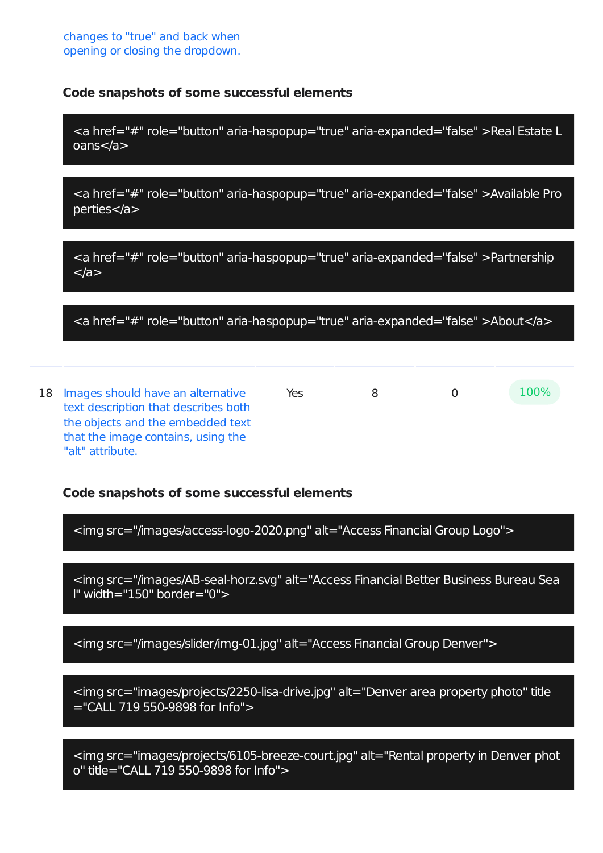<a href="#" role="button" aria-haspopup="true" aria-expanded="false" >Real Estate L oans</a>

<a href="#" role="button" aria-haspopup="true" aria-expanded="false" >Available Pro perties</a>

<a href="#" role="button" aria-haspopup="true" aria-expanded="false" >Partnership  $<$ /a $>$ 

<a href="#" role="button" aria-haspopup="true" aria-expanded="false" >About</a>

18 Images should have an alternative text description that describes both the objects and the embedded text that the image contains, using the "alt" attribute.  $Y$ es 8 0  $100\%$ 

#### **Code snapshots of some successful elements**

<img src="/images/access-logo-2020.png" alt="Access Financial Group Logo">

<img src="/images/AB-seal-horz.svg" alt="Access Financial Better Business Bureau Sea l" width="150" border="0">

<img src="/images/slider/img-01.jpg" alt="Access Financial Group Denver">

<img src="images/projects/2250-lisa-drive.jpg" alt="Denver area property photo" title ="CALL 719 550-9898 for Info">

<img src="images/projects/6105-breeze-court.jpg" alt="Rental property in Denver phot o" title="CALL 719 550-9898 for Info">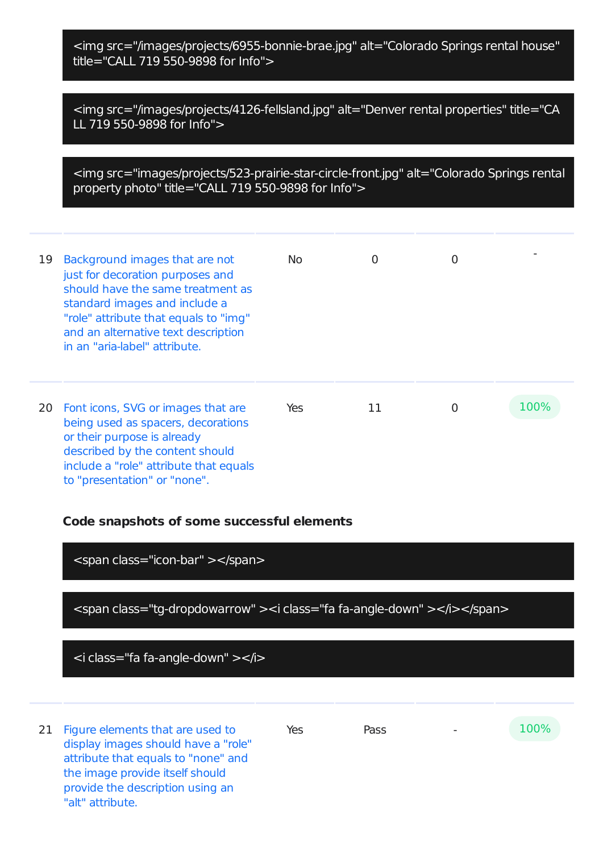<img src="/images/projects/6955-bonnie-brae.jpg" alt="Colorado Springs rental house" title="CALL 719 550-9898 for Info">

<img src="/images/projects/4126-fellsland.jpg" alt="Denver rental properties" title="CA LL 719 550-9898 for Info">

<img src="images/projects/523-prairie-star-circle-front.jpg" alt="Colorado Springs rental property photo" title="CALL 719 550-9898 for Info">

| 19 | Background images that are not<br>just for decoration purposes and<br>should have the same treatment as<br>standard images and include a<br>"role" attribute that equals to "img"<br>and an alternative text description<br>in an "aria-label" attribute. | No. | 0  | 0        |      |
|----|-----------------------------------------------------------------------------------------------------------------------------------------------------------------------------------------------------------------------------------------------------------|-----|----|----------|------|
| 20 | Font icons, SVG or images that are<br>being used as spacers, decorations<br>or their purpose is already<br>described by the content should<br>include a "role" attribute that equals<br>to "presentation" or "none".                                      | Yes | 11 | $\Omega$ | 100% |

#### **Code snapshots of some successful elements**

<span class="icon-bar" ></span>

<span class="tg-dropdowarrow" ><i class="fa fa-angle-down" ></i></span>

<i class="fa fa-angle-down" ></i>

21 Figure elements that are used to display images should have a "role" attribute that equals to "none" and the image provide itself should provide the description using an "alt" attribute.

 $Yes$  Pass  $-100\%$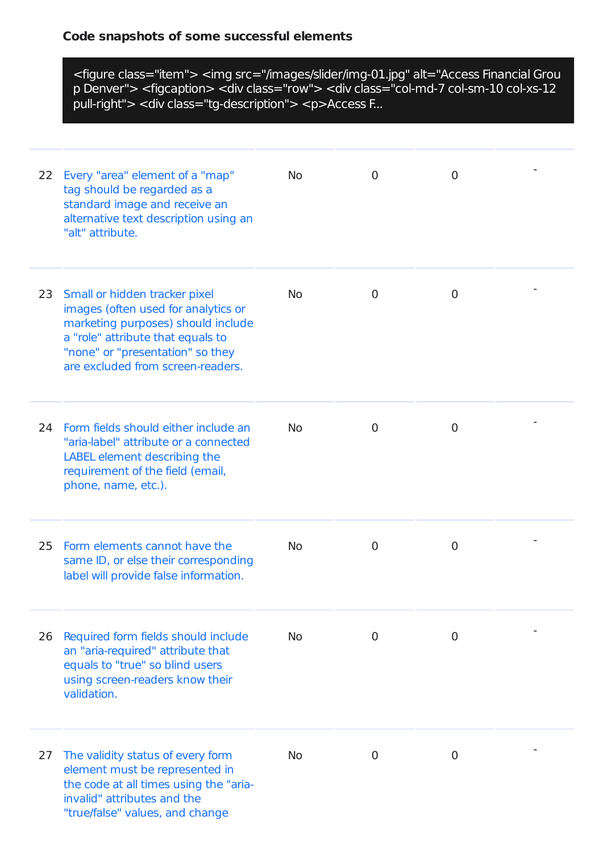|    | <figure class="item"> <img alt="Access Financial Grou&lt;br&gt;p Denver" src="/images/slider/img-01.jpg"/> <figcaption> <div class="row"> <div class="col-md-7 col-sm-10 col-xs-12&lt;br&gt;pull-right"> <div class="tg-description"> <p>Access F</p></div></div></div></figcaption></figure> |           |                |                |  |  |
|----|-----------------------------------------------------------------------------------------------------------------------------------------------------------------------------------------------------------------------------------------------------------------------------------------------|-----------|----------------|----------------|--|--|
| 22 | Every "area" element of a "map"<br>tag should be regarded as a<br>standard image and receive an<br>alternative text description using an<br>"alt" attribute.                                                                                                                                  | <b>No</b> | $\overline{0}$ | $\overline{0}$ |  |  |
|    | 23 Small or hidden tracker pixel<br>images (often used for analytics or<br>marketing purposes) should include<br>a "role" attribute that equals to<br>"none" or "presentation" so they<br>are excluded from screen-readers.                                                                   | <b>No</b> | $\overline{0}$ | $\mathbf 0$    |  |  |
|    | 24 Form fields should either include an<br>"aria-label" attribute or a connected<br>LABEL element describing the<br>requirement of the field (email,<br>phone, name, etc.).                                                                                                                   | <b>No</b> | $\overline{0}$ | $\mathbf 0$    |  |  |
| 25 | Form elements cannot have the<br>same ID, or else their corresponding<br>label will provide false information.                                                                                                                                                                                | <b>No</b> | 0              | $\overline{0}$ |  |  |
| 26 | Required form fields should include<br>an "aria-required" attribute that<br>equals to "true" so blind users<br>using screen-readers know their<br>validation.                                                                                                                                 | <b>No</b> | 0              | 0              |  |  |
| 27 | The validity status of every form<br>element must be represented in<br>the code at all times using the "aria-<br>invalid" attributes and the<br>"true/false" values, and change                                                                                                               | <b>No</b> | $\overline{0}$ | $\overline{0}$ |  |  |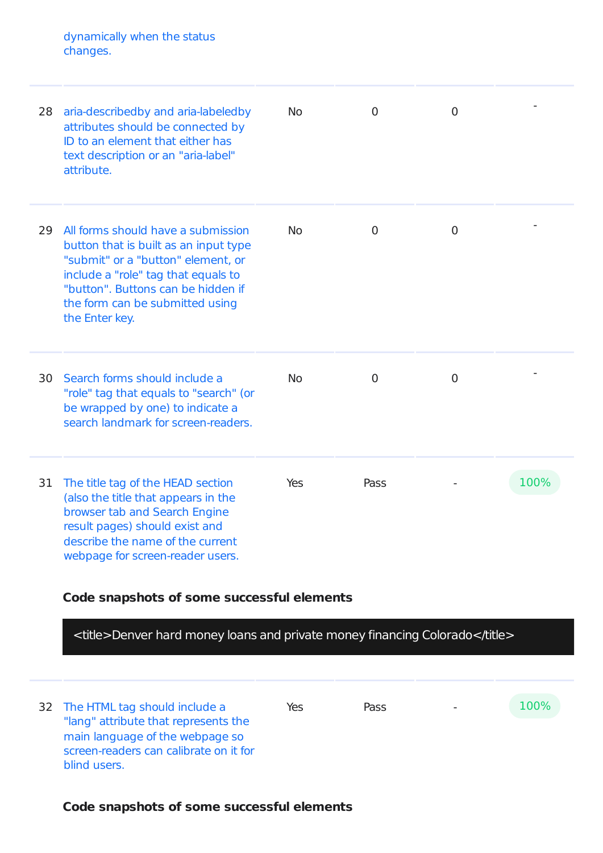dynamically when the status changes.

| 28 | aria-describedby and aria-labeledby<br>attributes should be connected by<br>ID to an element that either has<br>text description or an "aria-label"<br>attribute.                                                                                   | <b>No</b> | 0              | 0              |      |
|----|-----------------------------------------------------------------------------------------------------------------------------------------------------------------------------------------------------------------------------------------------------|-----------|----------------|----------------|------|
| 29 | All forms should have a submission<br>button that is built as an input type<br>"submit" or a "button" element, or<br>include a "role" tag that equals to<br>"button". Buttons can be hidden if<br>the form can be submitted using<br>the Enter key. | <b>No</b> | $\overline{0}$ | $\overline{0}$ |      |
| 30 | Search forms should include a<br>"role" tag that equals to "search" (or<br>be wrapped by one) to indicate a<br>search landmark for screen-readers.                                                                                                  | <b>No</b> | $\overline{0}$ | $\overline{0}$ |      |
| 31 | The title tag of the HEAD section<br>(also the title that appears in the<br>browser tab and Search Engine<br>result pages) should exist and<br>describe the name of the current<br>webpage for screen-reader users.                                 | Yes       | Pass           |                | 100% |

# **Code snapshots of some successful elements**

<title>Denver hard money loans and private money financing Colorado</title>

| screen-readers can calibrate on it for<br>blind users. |  | 32 The HTML tag should include a<br>"lang" attribute that represents the<br>main language of the webpage so | Yes | Pass | $\overline{\phantom{a}}$ | 100% |
|--------------------------------------------------------|--|-------------------------------------------------------------------------------------------------------------|-----|------|--------------------------|------|
|--------------------------------------------------------|--|-------------------------------------------------------------------------------------------------------------|-----|------|--------------------------|------|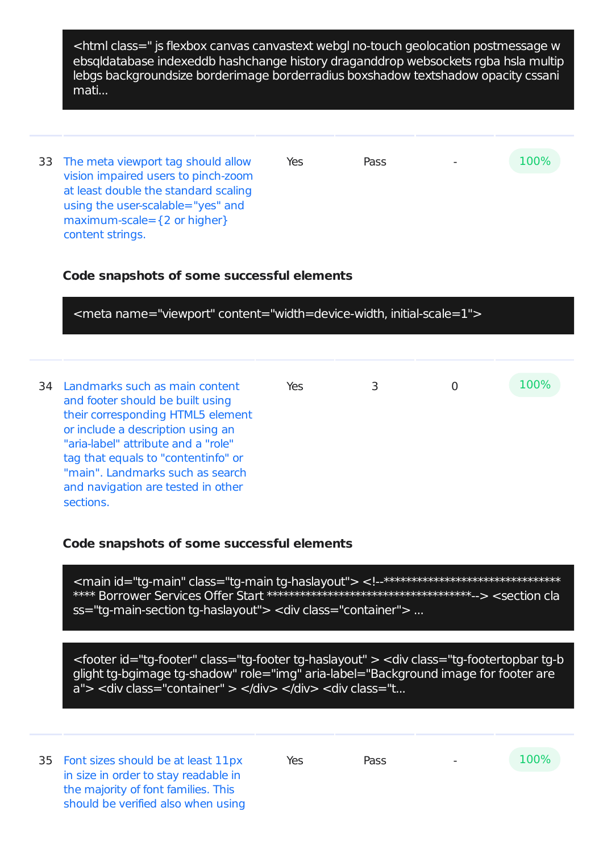<html class=" js flexbox canvas canvastext webgl no-touch geolocation postmessage w ebsqldatabase indexeddb hashchange history draganddrop websockets rgba hsla multip lebgs backgroundsize borderimage borderradius boxshadow textshadow opacity cssani mati...

33 The meta viewport tag should allow vision impaired users to pinch-zoom at least double the standard scaling using the user-scalable="yes" and maximum-scale={2 or higher} content strings.  $Yes$  Pass  $-100\%$ 

# **Code snapshots of some successful elements**

<meta name="viewport" content="width=device-width, initial-scale=1"> 34 Landmarks such as main content and footer should be built using their corresponding HTML5 element or include a description using an "aria-label" attribute and a "role" tag that equals to "contentinfo" or "main". Landmarks such as search and navigation are tested in other sections. Yes 3 0 100%

### **Code snapshots of some successful elements**

<main id="tg-main" class="tg-main tg-haslayout"> <!--\*\*\*\*\*\*\*\*\*\*\*\*\*\*\*\*\*\*\*\*\*\*\*\*\*\*\*\*\*\*\*\*\*\* \*\*\*\* Borrower Services Offer Start \*\*\*\*\*\*\*\*\*\*\*\*\*\*\*\*\*\*\*\*\*\*\*\*\*\*\*\*\*\*\*\*\*\*\*\*\*--> <section cla ss="tg-main-section tg-haslayout"> <div class="container"> ...

<footer id="tg-footer" class="tg-footer tg-haslayout" > <div class="tg-footertopbar tg-b glight tg-bgimage tg-shadow" role="img" aria-label="Background image for footer are a"> <div class="container" > </div> </div> <div class="t...

35 Font sizes should be at least 11px in size in order to stay readable in the majority of font families. This should be verified also when using

Yes Pass - 100%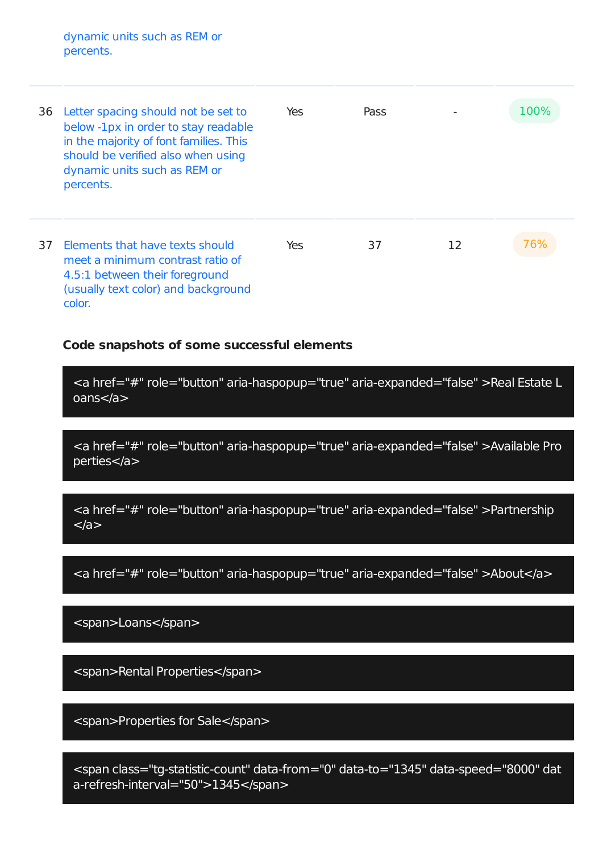dynamic units such as REM or percents.

| 36 | Letter spacing should not be set to<br>below -1px in order to stay readable<br>in the majority of font families. This<br>should be verified also when using<br>dynamic units such as REM or<br>percents. | Yes | Pass |    | 100% |
|----|----------------------------------------------------------------------------------------------------------------------------------------------------------------------------------------------------------|-----|------|----|------|
| 37 | Elements that have texts should<br>meet a minimum contrast ratio of<br>4.5:1 between their foreground<br>(usually text color) and background<br>color.                                                   | Yes | 37   | 12 | 76%  |

#### **Code snapshots of some successful elements**

<a href="#" role="button" aria-haspopup="true" aria-expanded="false" >Real Estate L oans</a>

<a href="#" role="button" aria-haspopup="true" aria-expanded="false" >Available Pro perties</a>

<a href="#" role="button" aria-haspopup="true" aria-expanded="false" >Partnership  $<$ /a $>$ 

<a href="#" role="button" aria-haspopup="true" aria-expanded="false" >About</a>

<span>Loans</span>

<span>Rental Properties</span>

<span>Properties for Sale</span>

<span class="tg-statistic-count" data-from="0" data-to="1345" data-speed="8000" dat a-refresh-interval="50">1345</span>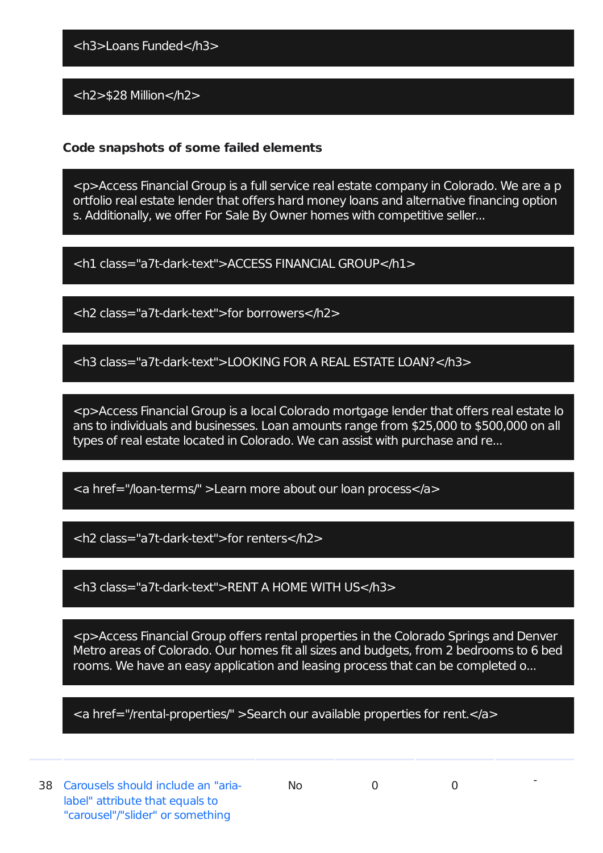<h3>Loans Funded</h3>

<h2>\$28 Million</h2>

# **Code snapshots of some failed elements**

<p>Access Financial Group is a full service real estate company in Colorado. We are a p ortfolio real estate lender that offers hard money loans and alternative financing option s. Additionally, we offer For Sale By Owner homes with competitive seller...

<h1 class="a7t-dark-text">ACCESS FINANCIAL GROUP</h1>

<h2 class="a7t-dark-text">for borrowers</h2>

<h3 class="a7t-dark-text">LOOKING FOR A REAL ESTATE LOAN?</h3>

<p>Access Financial Group is a local Colorado mortgage lender that offers real estate lo ans to individuals and businesses. Loan amounts range from \$25,000 to \$500,000 on all types of real estate located in Colorado. We can assist with purchase and re...

<a href="/loan-terms/" >Learn more about our loan process</a>

<h2 class="a7t-dark-text">for renters</h2>

<h3 class="a7t-dark-text">RENT A HOME WITH US</h3>

<p>Access Financial Group offers rental properties in the Colorado Springs and Denver Metro areas of Colorado. Our homes fit all sizes and budgets, from 2 bedrooms to 6 bed rooms. We have an easy application and leasing process that can be completed o...

<a href="/rental-properties/" >Search our available properties for rent.</a>

-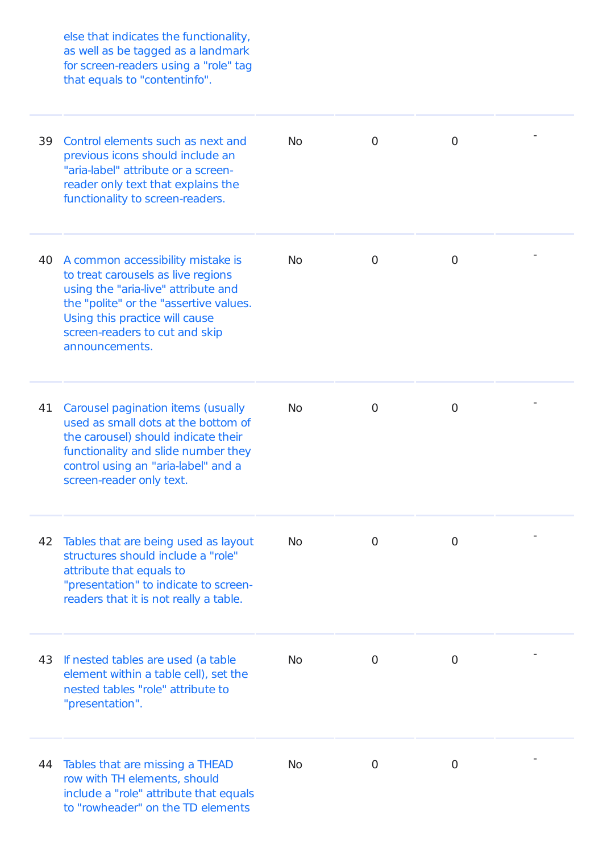else that indicates the functionality, as well as be tagged as a landmark for screen-readers using a "role" tag that equals to "contentinfo".

| 39 | Control elements such as next and<br>previous icons should include an<br>"aria-label" attribute or a screen-<br>reader only text that explains the<br>functionality to screen-readers.                                                         | <b>No</b> | $\overline{0}$ | $\overline{0}$ |  |
|----|------------------------------------------------------------------------------------------------------------------------------------------------------------------------------------------------------------------------------------------------|-----------|----------------|----------------|--|
| 40 | A common accessibility mistake is<br>to treat carousels as live regions<br>using the "aria-live" attribute and<br>the "polite" or the "assertive values.<br>Using this practice will cause<br>screen-readers to cut and skip<br>announcements. | <b>No</b> | 0              | $\mathbf 0$    |  |
| 41 | Carousel pagination items (usually<br>used as small dots at the bottom of<br>the carousel) should indicate their<br>functionality and slide number they<br>control using an "aria-label" and a<br>screen-reader only text.                     | <b>No</b> | $\mathbf 0$    | $\mathbf 0$    |  |
| 42 | Tables that are being used as layout<br>structures should include a "role"<br>attribute that equals to<br>"presentation" to indicate to screen-<br>readers that it is not really a table.                                                      | <b>No</b> | $\overline{0}$ | $\mathbf 0$    |  |
| 43 | If nested tables are used (a table<br>element within a table cell), set the<br>nested tables "role" attribute to<br>"presentation".                                                                                                            | <b>No</b> | 0              | $\mathbf 0$    |  |
| 44 | Tables that are missing a THEAD<br>row with TH elements, should<br>include a "role" attribute that equals<br>to "rowheader" on the TD elements                                                                                                 | <b>No</b> | 0              | $\overline{0}$ |  |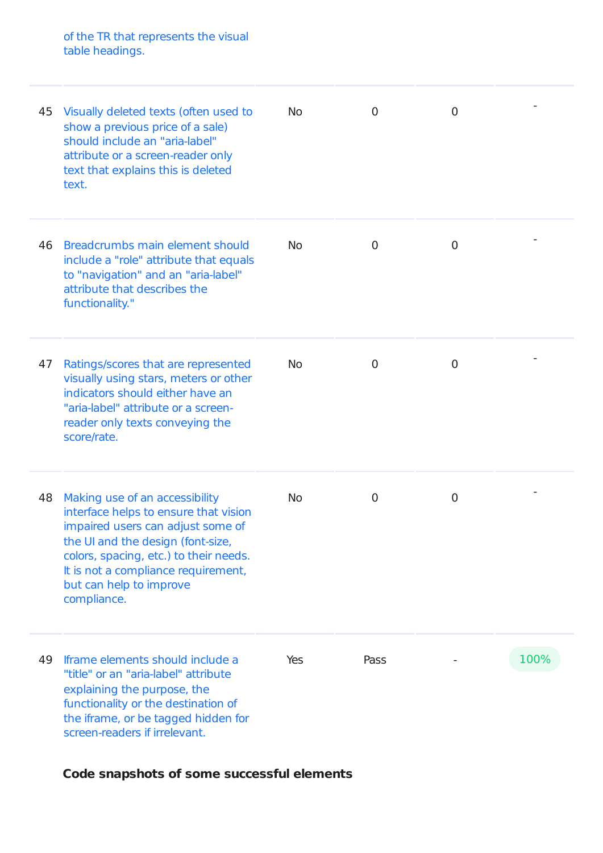of the TR that represents the visual table headings.

| 45 | Visually deleted texts (often used to<br>show a previous price of a sale)<br>should include an "aria-label"<br>attribute or a screen-reader only<br>text that explains this is deleted<br>text.                                                                              | No        | $\overline{0}$ | $\overline{0}$ |      |
|----|------------------------------------------------------------------------------------------------------------------------------------------------------------------------------------------------------------------------------------------------------------------------------|-----------|----------------|----------------|------|
| 46 | Breadcrumbs main element should<br>include a "role" attribute that equals<br>to "navigation" and an "aria-label"<br>attribute that describes the<br>functionality."                                                                                                          | No        | 0              | 0              |      |
| 47 | Ratings/scores that are represented<br>visually using stars, meters or other<br>indicators should either have an<br>"aria-label" attribute or a screen-<br>reader only texts conveying the<br>score/rate.                                                                    | <b>No</b> | $\mathbf 0$    | 0              |      |
| 48 | Making use of an accessibility<br>interface helps to ensure that vision<br>impaired users can adjust some of<br>the UI and the design (font-size,<br>colors, spacing, etc.) to their needs.<br>It is not a compliance requirement,<br>but can help to improve<br>compliance. | <b>No</b> | 0              | $\overline{0}$ |      |
| 49 | Iframe elements should include a<br>"title" or an "aria-label" attribute<br>explaining the purpose, the<br>functionality or the destination of<br>the iframe, or be tagged hidden for<br>screen-readers if irrelevant.                                                       | Yes       | Pass           |                | 100% |